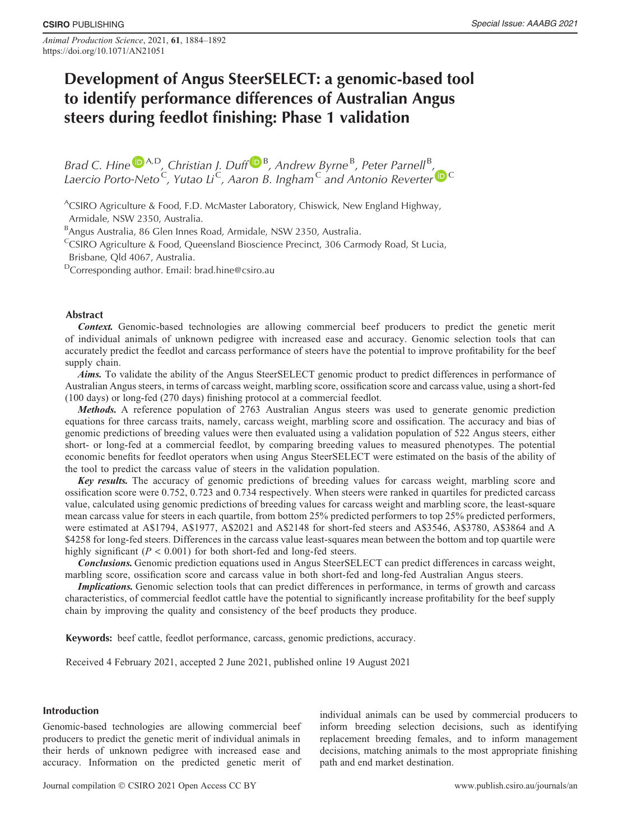Animal Production Science, 2021, 61, 1884–1892 https://doi.org/10.1071/AN21051

# Development of Angus SteerSELECT: a genomic-based tool to identify performance differences of Australian Angus steers during feedlot finishing: Phase 1 validation

[B](https://orcid.org/0000-0002-3072-1736)rad C. Hine  $\mathbb{D}^{A,D}$  $\mathbb{D}^{A,D}$  $\mathbb{D}^{A,D}$ , Christian J. Duff  $\mathbb{D}^{B}$ , Andrew Byrne<sup>B</sup>, Peter Parnell<sup>B</sup>, Laercio Porto-Neto<sup>[C](https://orcid.org/0000-0002-4681-9404)</sup>, Yutao Li<sup>C</sup>, Aaron B. Ingham<sup>C</sup> and Antonio Reverter **D** <sup>C</sup>

<sup>A</sup>CSIRO Agriculture & Food, F.D. McMaster Laboratory, Chiswick, New England Highway, Armidale, NSW 2350, Australia.

<sup>B</sup>Angus Australia, 86 Glen Innes Road, Armidale, NSW 2350, Australia.

<sup>C</sup>CSIRO Agriculture & Food, Queensland Bioscience Precinct, 306 Carmody Road, St Lucia, Brisbane, Qld 4067, Australia.

DCorresponding author. Email: [brad.hine@csiro.au](mailto:brad.hine@csiro.au)

# Abstract

Context. Genomic-based technologies are allowing commercial beef producers to predict the genetic merit of individual animals of unknown pedigree with increased ease and accuracy. Genomic selection tools that can accurately predict the feedlot and carcass performance of steers have the potential to improve profitability for the beef supply chain.

Aims. To validate the ability of the Angus SteerSELECT genomic product to predict differences in performance of Australian Angus steers, in terms of carcass weight, marbling score, ossification score and carcass value, using a short-fed (100 days) or long-fed (270 days) finishing protocol at a commercial feedlot.

Methods. A reference population of 2763 Australian Angus steers was used to generate genomic prediction equations for three carcass traits, namely, carcass weight, marbling score and ossification. The accuracy and bias of genomic predictions of breeding values were then evaluated using a validation population of 522 Angus steers, either short- or long-fed at a commercial feedlot, by comparing breeding values to measured phenotypes. The potential economic benefits for feedlot operators when using Angus SteerSELECT were estimated on the basis of the ability of the tool to predict the carcass value of steers in the validation population.

Key results. The accuracy of genomic predictions of breeding values for carcass weight, marbling score and ossification score were 0.752, 0.723 and 0.734 respectively. When steers were ranked in quartiles for predicted carcass value, calculated using genomic predictions of breeding values for carcass weight and marbling score, the least-square mean carcass value for steers in each quartile, from bottom 25% predicted performers to top 25% predicted performers, were estimated at A\$1794, A\$1977, A\$2021 and A\$2148 for short-fed steers and A\$3546, A\$3780, A\$3864 and A \$4258 for long-fed steers. Differences in the carcass value least-squares mean between the bottom and top quartile were highly significant ( $P < 0.001$ ) for both short-fed and long-fed steers.

Conclusions. Genomic prediction equations used in Angus SteerSELECT can predict differences in carcass weight, marbling score, ossification score and carcass value in both short-fed and long-fed Australian Angus steers.

Implications. Genomic selection tools that can predict differences in performance, in terms of growth and carcass characteristics, of commercial feedlot cattle have the potential to significantly increase profitability for the beef supply chain by improving the quality and consistency of the beef products they produce.

Keywords: beef cattle, feedlot performance, carcass, genomic predictions, accuracy.

Received 4 February 2021, accepted 2 June 2021, published online 19 August 2021

# Introduction

Genomic-based technologies are allowing commercial beef producers to predict the genetic merit of individual animals in their herds of unknown pedigree with increased ease and accuracy. Information on the predicted genetic merit of individual animals can be used by commercial producers to inform breeding selection decisions, such as identifying replacement breeding females, and to inform management decisions, matching animals to the most appropriate finishing path and end market destination.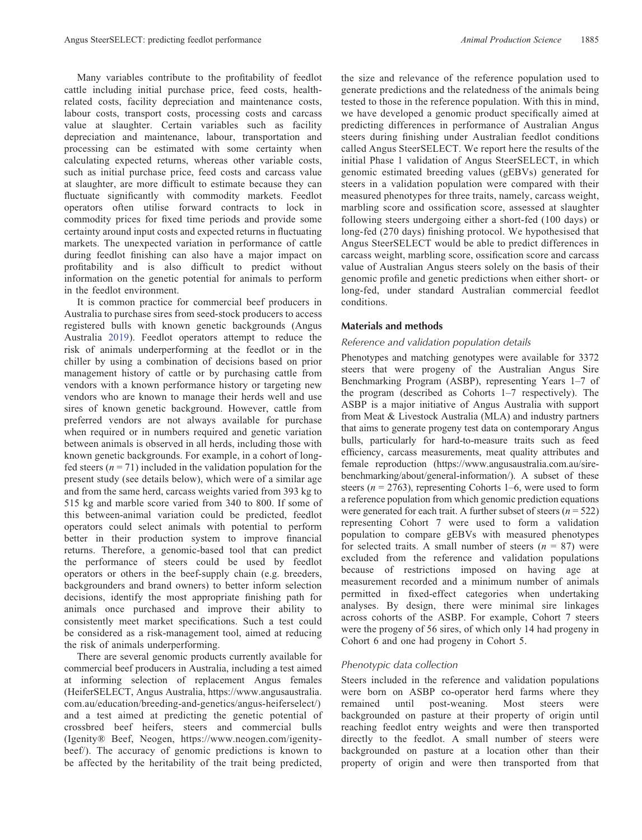Many variables contribute to the profitability of feedlot cattle including initial purchase price, feed costs, healthrelated costs, facility depreciation and maintenance costs, labour costs, transport costs, processing costs and carcass value at slaughter. Certain variables such as facility depreciation and maintenance, labour, transportation and processing can be estimated with some certainty when calculating expected returns, whereas other variable costs, such as initial purchase price, feed costs and carcass value at slaughter, are more difficult to estimate because they can fluctuate significantly with commodity markets. Feedlot operators often utilise forward contracts to lock in commodity prices for fixed time periods and provide some certainty around input costs and expected returns in fluctuating markets. The unexpected variation in performance of cattle during feedlot finishing can also have a major impact on profitability and is also difficult to predict without information on the genetic potential for animals to perform in the feedlot environment.

It is common practice for commercial beef producers in Australia to purchase sires from seed-stock producers to access registered bulls with known genetic backgrounds (Angus Australia [2019\)](#page-7-0). Feedlot operators attempt to reduce the risk of animals underperforming at the feedlot or in the chiller by using a combination of decisions based on prior management history of cattle or by purchasing cattle from vendors with a known performance history or targeting new vendors who are known to manage their herds well and use sires of known genetic background. However, cattle from preferred vendors are not always available for purchase when required or in numbers required and genetic variation between animals is observed in all herds, including those with known genetic backgrounds. For example, in a cohort of longfed steers ( $n = 71$ ) included in the validation population for the present study (see details below), which were of a similar age and from the same herd, carcass weights varied from 393 kg to 515 kg and marble score varied from 340 to 800. If some of this between-animal variation could be predicted, feedlot operators could select animals with potential to perform better in their production system to improve financial returns. Therefore, a genomic-based tool that can predict the performance of steers could be used by feedlot operators or others in the beef-supply chain (e.g. breeders, backgrounders and brand owners) to better inform selection decisions, identify the most appropriate finishing path for animals once purchased and improve their ability to consistently meet market specifications. Such a test could be considered as a risk-management tool, aimed at reducing the risk of animals underperforming.

There are several genomic products currently available for commercial beef producers in Australia, including a test aimed at informing selection of replacement Angus females (HeiferSELECT, Angus Australia, [https://www.angusaustralia.](https://www.angusaustralia.com.au/education/breeding-and-genetics/angus-heiferselect/) [com.au/education/breeding-and-genetics/angus-heiferselect/](https://www.angusaustralia.com.au/education/breeding-and-genetics/angus-heiferselect/)) and a test aimed at predicting the genetic potential of crossbred beef heifers, steers and commercial bulls (Igenity® Beef, Neogen, [https://www.neogen.com/igenity](https://www.neogen.com/igenity-beef/)[beef/\)](https://www.neogen.com/igenity-beef/). The accuracy of genomic predictions is known to be affected by the heritability of the trait being predicted,

the size and relevance of the reference population used to generate predictions and the relatedness of the animals being tested to those in the reference population. With this in mind, we have developed a genomic product specifically aimed at predicting differences in performance of Australian Angus steers during finishing under Australian feedlot conditions called Angus SteerSELECT. We report here the results of the initial Phase 1 validation of Angus SteerSELECT, in which genomic estimated breeding values (gEBVs) generated for steers in a validation population were compared with their measured phenotypes for three traits, namely, carcass weight, marbling score and ossification score, assessed at slaughter following steers undergoing either a short-fed (100 days) or long-fed (270 days) finishing protocol. We hypothesised that Angus SteerSELECT would be able to predict differences in carcass weight, marbling score, ossification score and carcass value of Australian Angus steers solely on the basis of their genomic profile and genetic predictions when either short- or long-fed, under standard Australian commercial feedlot conditions.

# Materials and methods

## Reference and validation population details

Phenotypes and matching genotypes were available for 3372 steers that were progeny of the Australian Angus Sire Benchmarking Program (ASBP), representing Years 1–7 of the program (described as Cohorts 1–7 respectively). The ASBP is a major initiative of Angus Australia with support from Meat & Livestock Australia (MLA) and industry partners that aims to generate progeny test data on contemporary Angus bulls, particularly for hard-to-measure traits such as feed efficiency, carcass measurements, meat quality attributes and female reproduction [\(https://www.angusaustralia.com.au/sire](https://www.angusaustralia.com.au/sire-benchmarking/about/general-information/)[benchmarking/about/general-information/](https://www.angusaustralia.com.au/sire-benchmarking/about/general-information/)). A subset of these steers ( $n = 2763$ ), representing Cohorts 1–6, were used to form a reference population from which genomic prediction equations were generated for each trait. A further subset of steers  $(n = 522)$ representing Cohort 7 were used to form a validation population to compare gEBVs with measured phenotypes for selected traits. A small number of steers ( $n = 87$ ) were excluded from the reference and validation populations because of restrictions imposed on having age at measurement recorded and a minimum number of animals permitted in fixed-effect categories when undertaking analyses. By design, there were minimal sire linkages across cohorts of the ASBP. For example, Cohort 7 steers were the progeny of 56 sires, of which only 14 had progeny in Cohort 6 and one had progeny in Cohort 5.

## Phenotypic data collection

Steers included in the reference and validation populations were born on ASBP co-operator herd farms where they remained until post-weaning. Most steers were backgrounded on pasture at their property of origin until reaching feedlot entry weights and were then transported directly to the feedlot. A small number of steers were backgrounded on pasture at a location other than their property of origin and were then transported from that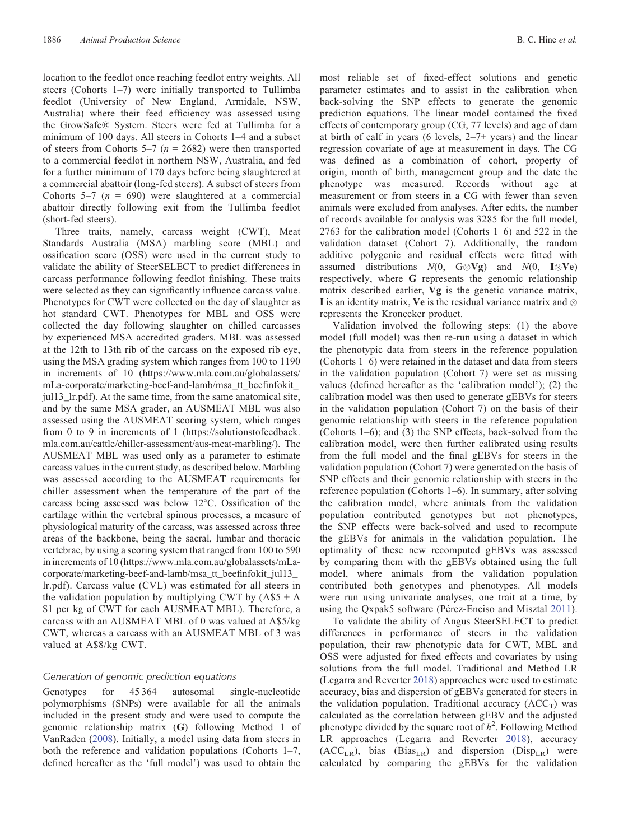location to the feedlot once reaching feedlot entry weights. All steers (Cohorts 1–7) were initially transported to Tullimba feedlot (University of New England, Armidale, NSW, Australia) where their feed efficiency was assessed using the GrowSafe® System. Steers were fed at Tullimba for a minimum of 100 days. All steers in Cohorts 1–4 and a subset of steers from Cohorts 5–7 ( $n = 2682$ ) were then transported to a commercial feedlot in northern NSW, Australia, and fed for a further minimum of 170 days before being slaughtered at a commercial abattoir (long-fed steers). A subset of steers from Cohorts 5–7 ( $n = 690$ ) were slaughtered at a commercial abattoir directly following exit from the Tullimba feedlot (short-fed steers).

Three traits, namely, carcass weight (CWT), Meat Standards Australia (MSA) marbling score (MBL) and ossification score (OSS) were used in the current study to validate the ability of SteerSELECT to predict differences in carcass performance following feedlot finishing. These traits were selected as they can significantly influence carcass value. Phenotypes for CWT were collected on the day of slaughter as hot standard CWT. Phenotypes for MBL and OSS were collected the day following slaughter on chilled carcasses by experienced MSA accredited graders. MBL was assessed at the 12th to 13th rib of the carcass on the exposed rib eye, using the MSA grading system which ranges from 100 to 1190 in increments of 10 [\(https://www.mla.com.au/globalassets/](https://www.mla.com.au/globalassets/mLa-corporate/marketing-beef-and-lamb/msa_tt_beefinfokit_jul13_lr.pdf) [mLa-corporate/marketing-beef-and-lamb/msa\\_tt\\_bee](https://www.mla.com.au/globalassets/mLa-corporate/marketing-beef-and-lamb/msa_tt_beefinfokit_jul13_lr.pdf)finfokit\_ [jul13\\_lr.pdf](https://www.mla.com.au/globalassets/mLa-corporate/marketing-beef-and-lamb/msa_tt_beefinfokit_jul13_lr.pdf)). At the same time, from the same anatomical site, and by the same MSA grader, an AUSMEAT MBL was also assessed using the AUSMEAT scoring system, which ranges from 0 to 9 in increments of 1 ([https://solutionstofeedback.](https://solutionstofeedback.mla.com.au/cattle/chiller-assessment/aus-meat-marbling/) [mla.com.au/cattle/chiller-assessment/aus-meat-marbling/\)](https://solutionstofeedback.mla.com.au/cattle/chiller-assessment/aus-meat-marbling/). The AUSMEAT MBL was used only as a parameter to estimate carcass values in the current study, as described below. Marbling was assessed according to the AUSMEAT requirements for chiller assessment when the temperature of the part of the carcass being assessed was below 12 C. Ossification of the cartilage within the vertebral spinous processes, a measure of physiological maturity of the carcass, was assessed across three areas of the backbone, being the sacral, lumbar and thoracic vertebrae, by using a scoring system that ranged from 100 to 590 in increments of 10 ([https://www.mla.com.au/globalassets/mLa](https://www.mla.com.au/globalassets/mLa-corporate/marketing-beef-and-lamb/msa_tt_beefinfokit_jul13_lr.pdf)[corporate/marketing-beef-and-lamb/msa\\_tt\\_bee](https://www.mla.com.au/globalassets/mLa-corporate/marketing-beef-and-lamb/msa_tt_beefinfokit_jul13_lr.pdf)finfokit\_jul13\_ [lr.pdf](https://www.mla.com.au/globalassets/mLa-corporate/marketing-beef-and-lamb/msa_tt_beefinfokit_jul13_lr.pdf)). Carcass value (CVL) was estimated for all steers in the validation population by multiplying CWT by  $(AS5 + A)$ \$1 per kg of CWT for each AUSMEAT MBL). Therefore, a carcass with an AUSMEAT MBL of 0 was valued at A\$5/kg CWT, whereas a carcass with an AUSMEAT MBL of 3 was valued at A\$8/kg CWT.

## Generation of genomic prediction equations

Genotypes for 45 364 autosomal single-nucleotide polymorphisms (SNPs) were available for all the animals included in the present study and were used to compute the genomic relationship matrix (G) following Method 1 of VanRaden ([2008\)](#page-8-0). Initially, a model using data from steers in both the reference and validation populations (Cohorts 1–7, defined hereafter as the 'full model') was used to obtain the

most reliable set of fixed-effect solutions and genetic parameter estimates and to assist in the calibration when back-solving the SNP effects to generate the genomic prediction equations. The linear model contained the fixed effects of contemporary group (CG, 77 levels) and age of dam at birth of calf in years (6 levels, 2–7+ years) and the linear regression covariate of age at measurement in days. The CG was defined as a combination of cohort, property of origin, month of birth, management group and the date the phenotype was measured. Records without age at measurement or from steers in a CG with fewer than seven animals were excluded from analyses. After edits, the number of records available for analysis was 3285 for the full model, 2763 for the calibration model (Cohorts 1–6) and 522 in the validation dataset (Cohort 7). Additionally, the random additive polygenic and residual effects were fitted with assumed distributions  $N(0, G \otimes Vg)$  and  $N(0, I \otimes Ve)$ respectively, where G represents the genomic relationship matrix described earlier, Vg is the genetic variance matrix, I is an identity matrix, Ve is the residual variance matrix and  $\otimes$ represents the Kronecker product.

Validation involved the following steps: (1) the above model (full model) was then re-run using a dataset in which the phenotypic data from steers in the reference population (Cohorts 1–6) were retained in the dataset and data from steers in the validation population (Cohort 7) were set as missing values (defined hereafter as the 'calibration model'); (2) the calibration model was then used to generate gEBVs for steers in the validation population (Cohort 7) on the basis of their genomic relationship with steers in the reference population (Cohorts 1–6); and (3) the SNP effects, back-solved from the calibration model, were then further calibrated using results from the full model and the final gEBVs for steers in the validation population (Cohort 7) were generated on the basis of SNP effects and their genomic relationship with steers in the reference population (Cohorts 1–6). In summary, after solving the calibration model, where animals from the validation population contributed genotypes but not phenotypes, the SNP effects were back-solved and used to recompute the gEBVs for animals in the validation population. The optimality of these new recomputed gEBVs was assessed by comparing them with the gEBVs obtained using the full model, where animals from the validation population contributed both genotypes and phenotypes. All models were run using univariate analyses, one trait at a time, by using the Qxpak5 software (Pérez-Enciso and Misztal [2011](#page-8-0)).

To validate the ability of Angus SteerSELECT to predict differences in performance of steers in the validation population, their raw phenotypic data for CWT, MBL and OSS were adjusted for fixed effects and covariates by using solutions from the full model. Traditional and Method LR (Legarra and Reverter [2018\)](#page-7-0) approaches were used to estimate accuracy, bias and dispersion of gEBVs generated for steers in the validation population. Traditional accuracy  $(ACC<sub>T</sub>)$  was calculated as the correlation between gEBV and the adjusted phenotype divided by the square root of  $h^2$ . Following Method LR approaches (Legarra and Reverter [2018\)](#page-7-0), accuracy  $(ACC<sub>LR</sub>)$ , bias  $(Bias<sub>LR</sub>)$  and dispersion  $(Disp<sub>LR</sub>)$  were calculated by comparing the gEBVs for the validation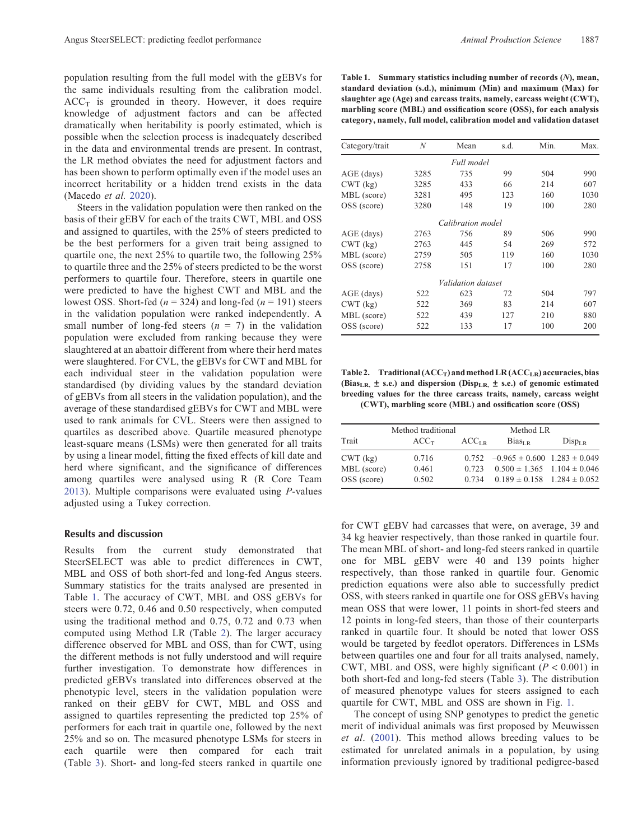<span id="page-3-0"></span>population resulting from the full model with the gEBVs for the same individuals resulting from the calibration model.  $ACC<sub>T</sub>$  is grounded in theory. However, it does require knowledge of adjustment factors and can be affected dramatically when heritability is poorly estimated, which is possible when the selection process is inadequately described in the data and environmental trends are present. In contrast, the LR method obviates the need for adjustment factors and has been shown to perform optimally even if the model uses an incorrect heritability or a hidden trend exists in the data (Macedo et al. [2020\)](#page-7-0).

Steers in the validation population were then ranked on the basis of their gEBV for each of the traits CWT, MBL and OSS and assigned to quartiles, with the 25% of steers predicted to be the best performers for a given trait being assigned to quartile one, the next 25% to quartile two, the following 25% to quartile three and the 25% of steers predicted to be the worst performers to quartile four. Therefore, steers in quartile one were predicted to have the highest CWT and MBL and the lowest OSS. Short-fed ( $n = 324$ ) and long-fed ( $n = 191$ ) steers in the validation population were ranked independently. A small number of long-fed steers  $(n = 7)$  in the validation population were excluded from ranking because they were slaughtered at an abattoir different from where their herd mates were slaughtered. For CVL, the gEBVs for CWT and MBL for each individual steer in the validation population were standardised (by dividing values by the standard deviation of gEBVs from all steers in the validation population), and the average of these standardised gEBVs for CWT and MBL were used to rank animals for CVL. Steers were then assigned to quartiles as described above. Quartile measured phenotype least-square means (LSMs) were then generated for all traits by using a linear model, fitting the fixed effects of kill date and herd where significant, and the significance of differences among quartiles were analysed using R (R Core Team [2013\)](#page-8-0). Multiple comparisons were evaluated using P-values adjusted using a Tukey correction.

#### Results and discussion

Results from the current study demonstrated that SteerSELECT was able to predict differences in CWT, MBL and OSS of both short-fed and long-fed Angus steers. Summary statistics for the traits analysed are presented in Table 1. The accuracy of CWT, MBL and OSS gEBVs for steers were 0.72, 0.46 and 0.50 respectively, when computed using the traditional method and 0.75, 0.72 and 0.73 when computed using Method LR (Table 2). The larger accuracy difference observed for MBL and OSS, than for CWT, using the different methods is not fully understood and will require further investigation. To demonstrate how differences in predicted gEBVs translated into differences observed at the phenotypic level, steers in the validation population were ranked on their gEBV for CWT, MBL and OSS and assigned to quartiles representing the predicted top 25% of performers for each trait in quartile one, followed by the next 25% and so on. The measured phenotype LSMs for steers in each quartile were then compared for each trait (Table [3](#page-4-0)). Short- and long-fed steers ranked in quartile one

| Table 1. Summary statistics including number of records $(N)$ , mean,  |
|------------------------------------------------------------------------|
| standard deviation (s.d.), minimum (Min) and maximum (Max) for         |
| slaughter age (Age) and carcass traits, namely, carcass weight (CWT),  |
| marbling score (MBL) and ossification score (OSS), for each analysis   |
| category, namely, full model, calibration model and validation dataset |

| Category/trait | N    | Mean                      | s.d. | Min. | Max. |
|----------------|------|---------------------------|------|------|------|
|                |      | Full model                |      |      |      |
| AGE (days)     | 3285 | 735                       | 99   | 504  | 990  |
| CWT (kg)       | 3285 | 433                       | 66   | 214  | 607  |
| MBL (score)    | 3281 | 495                       | 123  | 160  | 1030 |
| OSS (score)    | 3280 | 148                       | 19   | 100  | 280  |
|                |      | Calibration model         |      |      |      |
| AGE (days)     | 2763 | 756                       | 89   | 506  | 990  |
| CWT (kg)       | 2763 | 445                       | 54   | 269  | 572  |
| MBL (score)    | 2759 | 505                       | 119  | 160  | 1030 |
| OSS (score)    | 2758 | 151                       | 17   | 100  | 280  |
|                |      | <i>Validation dataset</i> |      |      |      |
| AGE (days)     | 522  | 623                       | 72   | 504  | 797  |
| CWT (kg)       | 522  | 369                       | 83   | 214  | 607  |
| MBL (score)    | 522  | 439                       | 127  | 210  | 880  |
| OSS (score)    | 522  | 133                       | 17   | 100  | 200  |

Table 2. Traditional  $(ACC_T)$  and method LR  $(ACC_{LR})$  accuracies, bias (Bias<sub>LR,</sub>  $\pm$  s.e.) and dispersion (Disp<sub>LR,</sub>  $\pm$  s.e.) of genomic estimated breeding values for the three carcass traits, namely, carcass weight (CWT), marbling score (MBL) and ossification score (OSS)

| Method traditional |                  |                   | Method LR                                  |             |  |
|--------------------|------------------|-------------------|--------------------------------------------|-------------|--|
| Trait              | ACC <sub>T</sub> | ACC <sub>LR</sub> | Bias <sub>IP</sub>                         | $Disp_{LR}$ |  |
| CWT (kg)           | 0.716            |                   | $0.752 -0.965 \pm 0.600$ $1.283 \pm 0.049$ |             |  |
| MBL (score)        | 0.461            | 0.723             | $0.500 \pm 1.365$ 1.104 $\pm$ 0.046        |             |  |
| OSS (score)        | 0.502            | 0.734             | $0.189 \pm 0.158$ 1.284 $\pm$ 0.052        |             |  |

for CWT gEBV had carcasses that were, on average, 39 and 34 kg heavier respectively, than those ranked in quartile four. The mean MBL of short- and long-fed steers ranked in quartile one for MBL gEBV were 40 and 139 points higher respectively, than those ranked in quartile four. Genomic prediction equations were also able to successfully predict OSS, with steers ranked in quartile one for OSS gEBVs having mean OSS that were lower, 11 points in short-fed steers and 12 points in long-fed steers, than those of their counterparts ranked in quartile four. It should be noted that lower OSS would be targeted by feedlot operators. Differences in LSMs between quartiles one and four for all traits analysed, namely, CWT, MBL and OSS, were highly significant ( $P < 0.001$ ) in both short-fed and long-fed steers (Table [3\)](#page-4-0). The distribution of measured phenotype values for steers assigned to each quartile for CWT, MBL and OSS are shown in Fig. [1](#page-5-0).

The concept of using SNP genotypes to predict the genetic merit of individual animals was first proposed by Meuwissen et al. [\(2001\)](#page-8-0). This method allows breeding values to be estimated for unrelated animals in a population, by using information previously ignored by traditional pedigree-based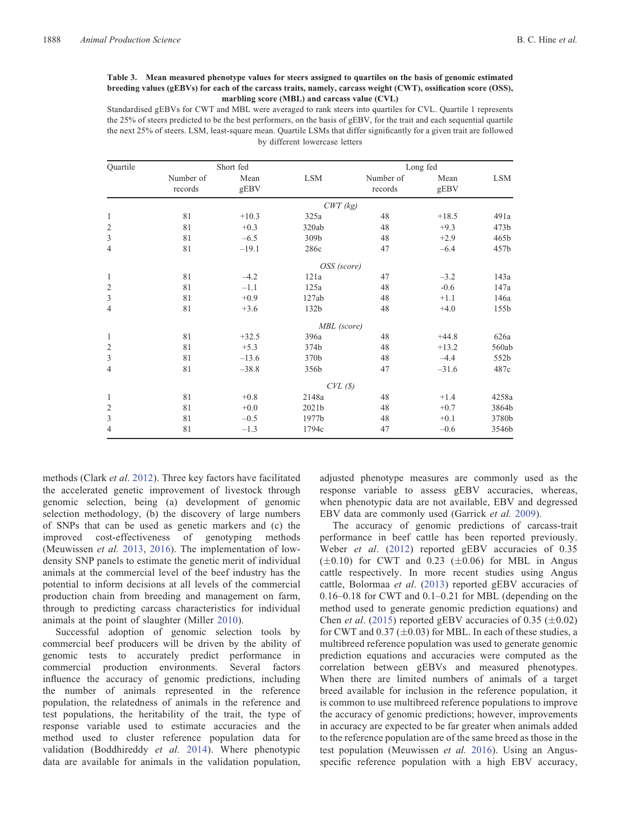#### <span id="page-4-0"></span>Table 3. Mean measured phenotype values for steers assigned to quartiles on the basis of genomic estimated breeding values (gEBVs) for each of the carcass traits, namely, carcass weight (CWT), ossification score (OSS), marbling score (MBL) and carcass value (CVL)

Standardised gEBVs for CWT and MBL were averaged to rank steers into quartiles for CVL. Quartile 1 represents the 25% of steers predicted to be the best performers, on the basis of gEBV, for the trait and each sequential quartile the next 25% of steers. LSM, least-square mean. Quartile LSMs that differ significantly for a given trait are followed by different lowercase letters

| Quartile       | Short fed            |              |             | Long fed             |              |            |
|----------------|----------------------|--------------|-------------|----------------------|--------------|------------|
|                | Number of<br>records | Mean<br>gEBV | <b>LSM</b>  | Number of<br>records | Mean<br>gEBV | <b>LSM</b> |
|                |                      |              | $CWT$ (kg)  |                      |              |            |
| $\mathbf{1}$   | 81                   | $+10.3$      | 325a        | 48                   | $+18.5$      | 491a       |
| $\overline{2}$ | 81                   | $+0.3$       | 320ab       | 48                   | $+9.3$       | 473b       |
| $\mathfrak{Z}$ | 81                   | $-6.5$       | 309b        | 48                   | $+2.9$       | 465b       |
| $\overline{4}$ | 81                   | $-19.1$      | 286c        | 47                   | $-6.4$       | 457b       |
|                |                      |              | OSS (score) |                      |              |            |
| 1              | 81                   | $-4.2$       | 121a        | 47                   | $-3.2$       | 143a       |
| $\overline{2}$ | 81                   | $-1.1$       | 125a        | 48                   | $-0.6$       | 147a       |
| $\mathfrak{Z}$ | 81                   | $+0.9$       | 127ab       | 48                   | $+1.1$       | 146a       |
| $\overline{4}$ | 81                   | $+3.6$       | 132b        | 48                   | $+4.0$       | 155b       |
|                |                      |              | MBL (score) |                      |              |            |
| 1              | 81                   | $+32.5$      | 396a        | 48                   | $+44.8$      | 626a       |
| $\sqrt{2}$     | 81                   | $+5.3$       | 374b        | 48                   | $+13.2$      | 560ab      |
| $\mathfrak{Z}$ | 81                   | $-13.6$      | 370b        | 48                   | $-4.4$       | 552b       |
| $\overline{4}$ | 81                   | $-38.8$      | 356b        | 47                   | $-31.6$      | 487c       |
|                |                      |              | CVL(S)      |                      |              |            |
| 1              | 81                   | $+0.8$       | 2148a       | 48                   | $+1.4$       | 4258a      |
| $\overline{2}$ | 81                   | $+0.0$       | 2021b       | 48                   | $+0.7$       | 3864b      |
| $\mathfrak{Z}$ | 81                   | $-0.5$       | 1977b       | 48                   | $+0.1$       | 3780b      |
| $\overline{4}$ | 81                   | $-1.3$       | 1794c       | 47                   | $-0.6$       | 3546b      |

methods (Clark et al. [2012](#page-7-0)). Three key factors have facilitated the accelerated genetic improvement of livestock through genomic selection, being (a) development of genomic selection methodology, (b) the discovery of large numbers of SNPs that can be used as genetic markers and (c) the improved cost-effectiveness of genotyping methods (Meuwissen et al. [2013](#page-8-0), [2016](#page-8-0)). The implementation of lowdensity SNP panels to estimate the genetic merit of individual animals at the commercial level of the beef industry has the potential to inform decisions at all levels of the commercial production chain from breeding and management on farm, through to predicting carcass characteristics for individual animals at the point of slaughter (Miller [2010\)](#page-8-0).

Successful adoption of genomic selection tools by commercial beef producers will be driven by the ability of genomic tests to accurately predict performance in commercial production environments. Several factors influence the accuracy of genomic predictions, including the number of animals represented in the reference population, the relatedness of animals in the reference and test populations, the heritability of the trait, the type of response variable used to estimate accuracies and the method used to cluster reference population data for validation (Boddhireddy et al. [2014](#page-7-0)). Where phenotypic data are available for animals in the validation population,

adjusted phenotype measures are commonly used as the response variable to assess gEBV accuracies, whereas, when phenotypic data are not available, EBV and degressed EBV data are commonly used (Garrick et al. [2009](#page-7-0)).

The accuracy of genomic predictions of carcass-trait performance in beef cattle has been reported previously. Weber et al. [\(2012](#page-8-0)) reported gEBV accuracies of 0.35  $(\pm 0.10)$  for CWT and 0.23  $(\pm 0.06)$  for MBL in Angus cattle respectively. In more recent studies using Angus cattle, Bolormaa et al. ([2013\)](#page-7-0) reported gEBV accuracies of 0.16–0.18 for CWT and 0.1–0.21 for MBL (depending on the method used to generate genomic prediction equations) and Chen *et al.* [\(2015\)](#page-7-0) reported gEBV accuracies of 0.35 ( $\pm$ 0.02) for CWT and  $0.37 (\pm 0.03)$  for MBL. In each of these studies, a multibreed reference population was used to generate genomic prediction equations and accuracies were computed as the correlation between gEBVs and measured phenotypes. When there are limited numbers of animals of a target breed available for inclusion in the reference population, it is common to use multibreed reference populations to improve the accuracy of genomic predictions; however, improvements in accuracy are expected to be far greater when animals added to the reference population are of the same breed as those in the test population (Meuwissen et al. [2016](#page-8-0)). Using an Angusspecific reference population with a high EBV accuracy,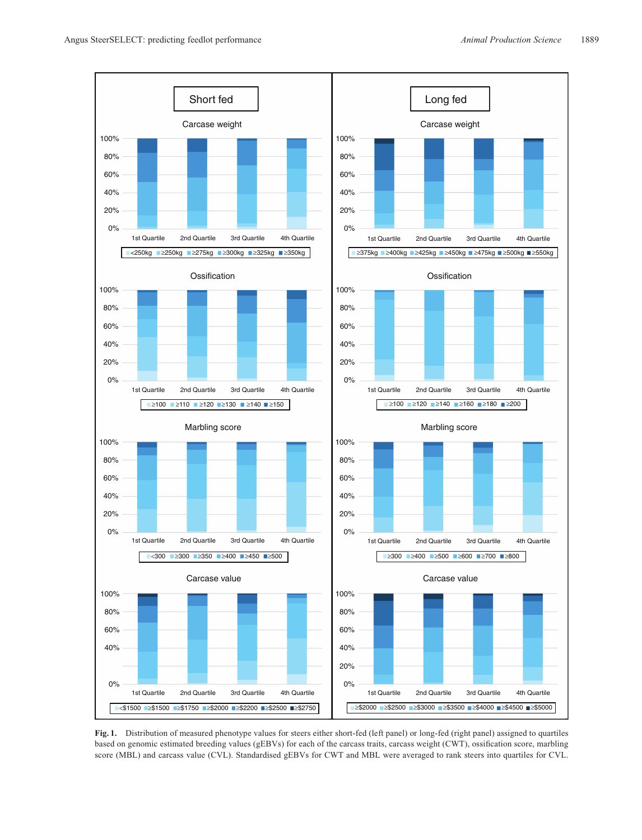<span id="page-5-0"></span>

Fig. 1. Distribution of measured phenotype values for steers either short-fed (left panel) or long-fed (right panel) assigned to quartiles based on genomic estimated breeding values (gEBVs) for each of the carcass traits, carcass weight (CWT), ossification score, marbling score (MBL) and carcass value (CVL). Standardised gEBVs for CWT and MBL were averaged to rank steers into quartiles for CVL.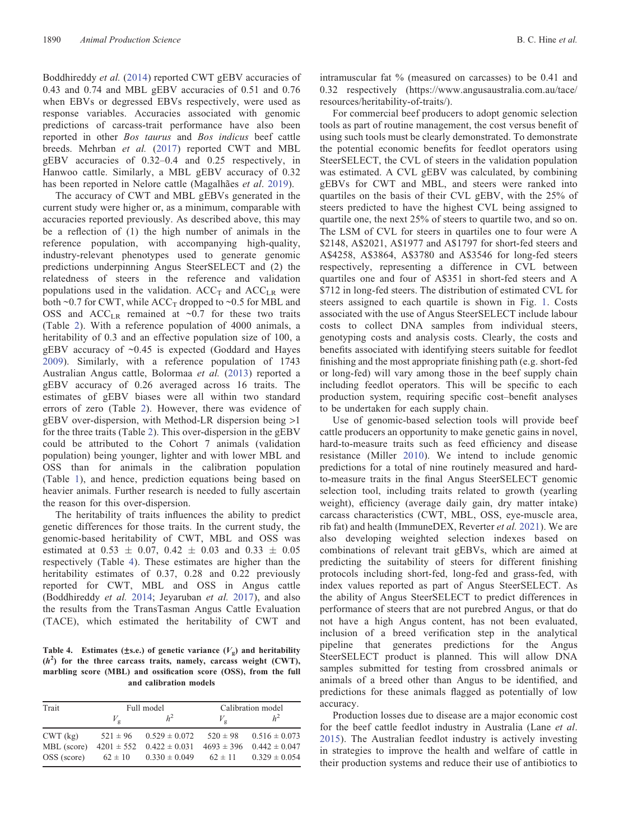Boddhireddy et al. ([2014\)](#page-7-0) reported CWT gEBV accuracies of 0.43 and 0.74 and MBL gEBV accuracies of 0.51 and 0.76 when EBVs or degressed EBVs respectively, were used as response variables. Accuracies associated with genomic predictions of carcass-trait performance have also been reported in other Bos taurus and Bos indicus beef cattle breeds. Mehrban et al. [\(2017](#page-7-0)) reported CWT and MBL gEBV accuracies of 0.32–0.4 and 0.25 respectively, in Hanwoo cattle. Similarly, a MBL gEBV accuracy of 0.32 has been reported in Nelore cattle (Magalhães et al. [2019\)](#page-7-0).

The accuracy of CWT and MBL gEBVs generated in the current study were higher or, as a minimum, comparable with accuracies reported previously. As described above, this may be a reflection of (1) the high number of animals in the reference population, with accompanying high-quality, industry-relevant phenotypes used to generate genomic predictions underpinning Angus SteerSELECT and (2) the relatedness of steers in the reference and validation populations used in the validation.  $ACC_T$  and  $ACC_{LR}$  were both ~0.7 for CWT, while  $ACC_T$  dropped to ~0.5 for MBL and OSS and  $ACC_{LR}$  remained at ~0.7 for these two traits (Table [2\)](#page-3-0). With a reference population of 4000 animals, a heritability of 0.3 and an effective population size of 100, a gEBV accuracy of  $\sim 0.45$  is expected (Goddard and Hayes [2009\)](#page-7-0). Similarly, with a reference population of 1743 Australian Angus cattle, Bolormaa et al. ([2013\)](#page-7-0) reported a gEBV accuracy of 0.26 averaged across 16 traits. The estimates of gEBV biases were all within two standard errors of zero (Table [2](#page-3-0)). However, there was evidence of gEBV over-dispersion, with Method-LR dispersion being >1 for the three traits (Table [2](#page-3-0)). This over-dispersion in the gEBV could be attributed to the Cohort 7 animals (validation population) being younger, lighter and with lower MBL and OSS than for animals in the calibration population (Table [1](#page-3-0)), and hence, prediction equations being based on heavier animals. Further research is needed to fully ascertain the reason for this over-dispersion.

The heritability of traits influences the ability to predict genetic differences for those traits. In the current study, the genomic-based heritability of CWT, MBL and OSS was estimated at  $0.53 \pm 0.07$ ,  $0.42 \pm 0.03$  and  $0.33 \pm 0.05$ respectively (Table 4). These estimates are higher than the heritability estimates of 0.37, 0.28 and 0.22 previously reported for CWT, MBL and OSS in Angus cattle (Boddhireddy et al. [2014](#page-7-0); Jeyaruban et al. [2017\)](#page-7-0), and also the results from the TransTasman Angus Cattle Evaluation (TACE), which estimated the heritability of CWT and

Table 4. Estimates ( $\pm$ s.e.) of genetic variance ( $V_g$ ) and heritability  $(h<sup>2</sup>)$  for the three carcass traits, namely, carcass weight (CWT), marbling score (MBL) and ossification score (OSS), from the full and calibration models

| Trait       | Full model     |                   | Calibration model |                   |
|-------------|----------------|-------------------|-------------------|-------------------|
|             | $V_{\alpha}$   |                   | $V_{\alpha}$      |                   |
| CWT (kg)    | $521 \pm 96$   | $0.529 \pm 0.072$ | $520 \pm 98$      | $0.516 \pm 0.073$ |
| MBL (score) | $4201 \pm 552$ | $0.422 \pm 0.031$ | $4693 \pm 396$    | $0.442 \pm 0.047$ |
| OSS (score) | $62 \pm 10$    | $0.330 \pm 0.049$ | $62 \pm 11$       | $0.329 \pm 0.054$ |

intramuscular fat % (measured on carcasses) to be 0.41 and 0.32 respectively ([https://www.angusaustralia.com.au/tace/](https://www.angusaustralia.com.au/tace/resources/heritability-of-traits/) [resources/heritability-of-traits/](https://www.angusaustralia.com.au/tace/resources/heritability-of-traits/)).

For commercial beef producers to adopt genomic selection tools as part of routine management, the cost versus benefit of using such tools must be clearly demonstrated. To demonstrate the potential economic benefits for feedlot operators using SteerSELECT, the CVL of steers in the validation population was estimated. A CVL gEBV was calculated, by combining gEBVs for CWT and MBL, and steers were ranked into quartiles on the basis of their CVL gEBV, with the 25% of steers predicted to have the highest CVL being assigned to quartile one, the next 25% of steers to quartile two, and so on. The LSM of CVL for steers in quartiles one to four were A \$2148, A\$2021, A\$1977 and A\$1797 for short-fed steers and A\$4258, A\$3864, A\$3780 and A\$3546 for long-fed steers respectively, representing a difference in CVL between quartiles one and four of A\$351 in short-fed steers and A \$712 in long-fed steers. The distribution of estimated CVL for steers assigned to each quartile is shown in Fig. [1](#page-5-0). Costs associated with the use of Angus SteerSELECT include labour costs to collect DNA samples from individual steers, genotyping costs and analysis costs. Clearly, the costs and benefits associated with identifying steers suitable for feedlot finishing and the most appropriate finishing path (e.g. short-fed or long-fed) will vary among those in the beef supply chain including feedlot operators. This will be specific to each production system, requiring specific cost–benefit analyses to be undertaken for each supply chain.

Use of genomic-based selection tools will provide beef cattle producers an opportunity to make genetic gains in novel, hard-to-measure traits such as feed efficiency and disease resistance (Miller [2010](#page-8-0)). We intend to include genomic predictions for a total of nine routinely measured and hardto-measure traits in the final Angus SteerSELECT genomic selection tool, including traits related to growth (yearling weight), efficiency (average daily gain, dry matter intake) carcass characteristics (CWT, MBL, OSS, eye-muscle area, rib fat) and health (ImmuneDEX, Reverter et al. [2021\)](#page-8-0). We are also developing weighted selection indexes based on combinations of relevant trait gEBVs, which are aimed at predicting the suitability of steers for different finishing protocols including short-fed, long-fed and grass-fed, with index values reported as part of Angus SteerSELECT. As the ability of Angus SteerSELECT to predict differences in performance of steers that are not purebred Angus, or that do not have a high Angus content, has not been evaluated, inclusion of a breed verification step in the analytical pipeline that generates predictions for the Angus SteerSELECT product is planned. This will allow DNA samples submitted for testing from crossbred animals or animals of a breed other than Angus to be identified, and predictions for these animals flagged as potentially of low accuracy.

Production losses due to disease are a major economic cost for the beef cattle feedlot industry in Australia (Lane et al. [2015\)](#page-7-0). The Australian feedlot industry is actively investing in strategies to improve the health and welfare of cattle in their production systems and reduce their use of antibiotics to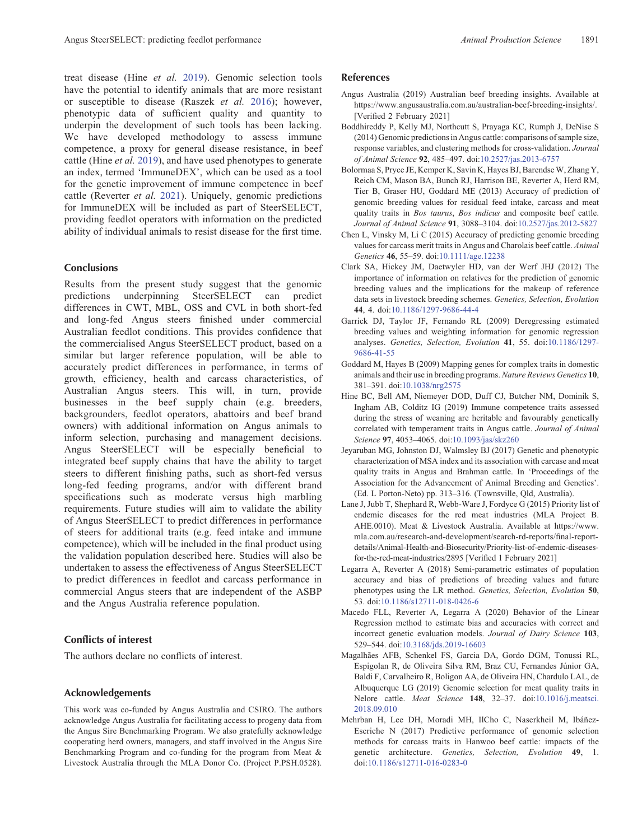<span id="page-7-0"></span>treat disease (Hine et al. 2019). Genomic selection tools have the potential to identify animals that are more resistant or susceptible to disease (Raszek et al. [2016\)](#page-8-0); however, phenotypic data of sufficient quality and quantity to underpin the development of such tools has been lacking. We have developed methodology to assess immune competence, a proxy for general disease resistance, in beef cattle (Hine et al. 2019), and have used phenotypes to generate an index, termed 'ImmuneDEX', which can be used as a tool for the genetic improvement of immune competence in beef cattle (Reverter et al. [2021\)](#page-8-0). Uniquely, genomic predictions for ImmuneDEX will be included as part of SteerSELECT, providing feedlot operators with information on the predicted ability of individual animals to resist disease for the first time.

# **Conclusions**

Results from the present study suggest that the genomic predictions underpinning SteerSELECT can predict differences in CWT, MBL, OSS and CVL in both short-fed and long-fed Angus steers finished under commercial Australian feedlot conditions. This provides confidence that the commercialised Angus SteerSELECT product, based on a similar but larger reference population, will be able to accurately predict differences in performance, in terms of growth, efficiency, health and carcass characteristics, of Australian Angus steers. This will, in turn, provide businesses in the beef supply chain (e.g. breeders, backgrounders, feedlot operators, abattoirs and beef brand owners) with additional information on Angus animals to inform selection, purchasing and management decisions. Angus SteerSELECT will be especially beneficial to integrated beef supply chains that have the ability to target steers to different finishing paths, such as short-fed versus long-fed feeding programs, and/or with different brand specifications such as moderate versus high marbling requirements. Future studies will aim to validate the ability of Angus SteerSELECT to predict differences in performance of steers for additional traits (e.g. feed intake and immune competence), which will be included in the final product using the validation population described here. Studies will also be undertaken to assess the effectiveness of Angus SteerSELECT to predict differences in feedlot and carcass performance in commercial Angus steers that are independent of the ASBP and the Angus Australia reference population.

# Conflicts of interest

The authors declare no conflicts of interest.

# Acknowledgements

This work was co-funded by Angus Australia and CSIRO. The authors acknowledge Angus Australia for facilitating access to progeny data from the Angus Sire Benchmarking Program. We also gratefully acknowledge cooperating herd owners, managers, and staff involved in the Angus Sire Benchmarking Program and co-funding for the program from Meat & Livestock Australia through the MLA Donor Co. (Project P.PSH.0528).

# References

- Angus Australia (2019) Australian beef breeding insights. Available at [https://www.angusaustralia.com.au/australian-beef-breeding-insights/.](https://www.angusaustralia.com.au/australian-beef-breeding-insights/) [Verified 2 February 2021]
- Boddhireddy P, Kelly MJ, Northcutt S, Prayaga KC, Rumph J, DeNise S (2014) Genomic predictions in Angus cattle: comparisons of sample size, response variables, and clustering methods for cross-validation. Journal of Animal Science 92, 485–497. doi[:10.2527/jas.2013-6757](dx.doi.org/10.2527/jas.2013-6757)
- Bolormaa S, Pryce JE, Kemper K, Savin K, Hayes BJ, BarendseW, Zhang Y, Reich CM, Mason BA, Bunch RJ, Harrison BE, Reverter A, Herd RM, Tier B, Graser HU, Goddard ME (2013) Accuracy of prediction of genomic breeding values for residual feed intake, carcass and meat quality traits in Bos taurus, Bos indicus and composite beef cattle. Journal of Animal Science 91, 3088–3104. doi[:10.2527/jas.2012-5827](dx.doi.org/10.2527/jas.2012-5827)
- Chen L, Vinsky M, Li C (2015) Accuracy of predicting genomic breeding values for carcass merit traits in Angus and Charolais beef cattle. Animal Genetics 46, 55–59. doi[:10.1111/age.12238](dx.doi.org/10.1111/age.12238)
- Clark SA, Hickey JM, Daetwyler HD, van der Werf JHJ (2012) The importance of information on relatives for the prediction of genomic breeding values and the implications for the makeup of reference data sets in livestock breeding schemes. Genetics, Selection, Evolution 44, 4. doi:[10.1186/1297-9686-44-4](dx.doi.org/10.1186/1297-9686-44-4)
- Garrick DJ, Taylor JF, Fernando RL (2009) Deregressing estimated breeding values and weighting information for genomic regression analyses. Genetics, Selection, Evolution 41, 55. doi[:10.1186/1297-](dx.doi.org/10.1186/1297-9686-41-55) [9686-41-55](dx.doi.org/10.1186/1297-9686-41-55)
- Goddard M, Hayes B (2009) Mapping genes for complex traits in domestic animals and their use in breeding programs. Nature Reviews Genetics 10, 381–391. doi[:10.1038/nrg2575](dx.doi.org/10.1038/nrg2575)
- Hine BC, Bell AM, Niemeyer DOD, Duff CJ, Butcher NM, Dominik S, Ingham AB, Colditz IG (2019) Immune competence traits assessed during the stress of weaning are heritable and favourably genetically correlated with temperament traits in Angus cattle. Journal of Animal Science 97, 4053–4065. doi:[10.1093/jas/skz260](dx.doi.org/10.1093/jas/skz260)
- Jeyaruban MG, Johnston DJ, Walmsley BJ (2017) Genetic and phenotypic characterization of MSA index and its association with carcase and meat quality traits in Angus and Brahman cattle. In 'Proceedings of the Association for the Advancement of Animal Breeding and Genetics'. (Ed. L Porton-Neto) pp. 313–316. (Townsville, Qld, Australia).
- Lane J, Jubb T, Shephard R, Webb-Ware J, Fordyce G (2015) Priority list of endemic diseases for the red meat industries (MLA Project B. AHE.0010). Meat & Livestock Australia. Available at [https://www.](https://www.mla.com.au/research-and-development/search-rd-reports/final-report-details/Animal-Health-and-Biosecurity/Priority-list-of-endemic-diseases-for-the-red-meat-industries/2895) [mla.com.au/research-and-development/search-rd-reports/](https://www.mla.com.au/research-and-development/search-rd-reports/final-report-details/Animal-Health-and-Biosecurity/Priority-list-of-endemic-diseases-for-the-red-meat-industries/2895)final-report[details/Animal-Health-and-Biosecurity/Priority-list-of-endemic-diseases](https://www.mla.com.au/research-and-development/search-rd-reports/final-report-details/Animal-Health-and-Biosecurity/Priority-list-of-endemic-diseases-for-the-red-meat-industries/2895)[for-the-red-meat-industries/2895](https://www.mla.com.au/research-and-development/search-rd-reports/final-report-details/Animal-Health-and-Biosecurity/Priority-list-of-endemic-diseases-for-the-red-meat-industries/2895) [Verified 1 February 2021]
- Legarra A, Reverter A (2018) Semi-parametric estimates of population accuracy and bias of predictions of breeding values and future phenotypes using the LR method. Genetics, Selection, Evolution 50, 53. doi[:10.1186/s12711-018-0426-6](dx.doi.org/10.1186/s12711-018-0426-6)
- Macedo FLL, Reverter A, Legarra A (2020) Behavior of the Linear Regression method to estimate bias and accuracies with correct and incorrect genetic evaluation models. Journal of Dairy Science 103, 529–544. doi[:10.3168/jds.2019-16603](dx.doi.org/10.3168/jds.2019-16603)
- Magalhães AFB, Schenkel FS, Garcia DA, Gordo DGM, Tonussi RL, Espigolan R, de Oliveira Silva RM, Braz CU, Fernandes Júnior GA, Baldi F, Carvalheiro R, Boligon AA, de Oliveira HN, Chardulo LAL, de Albuquerque LG (2019) Genomic selection for meat quality traits in Nelore cattle. Meat Science 148, 32–37. doi[:10.1016/j.meatsci.](dx.doi.org/10.1016/j.meatsci.2018.09.010) [2018.09.010](dx.doi.org/10.1016/j.meatsci.2018.09.010)
- Mehrban H, Lee DH, Moradi MH, IlCho C, Naserkheil M, Ibáñez-Escriche N (2017) Predictive performance of genomic selection methods for carcass traits in Hanwoo beef cattle: impacts of the genetic architecture. Genetics, Selection, Evolution 49, 1. doi[:10.1186/s12711-016-0283-0](dx.doi.org/10.1186/s12711-016-0283-0)